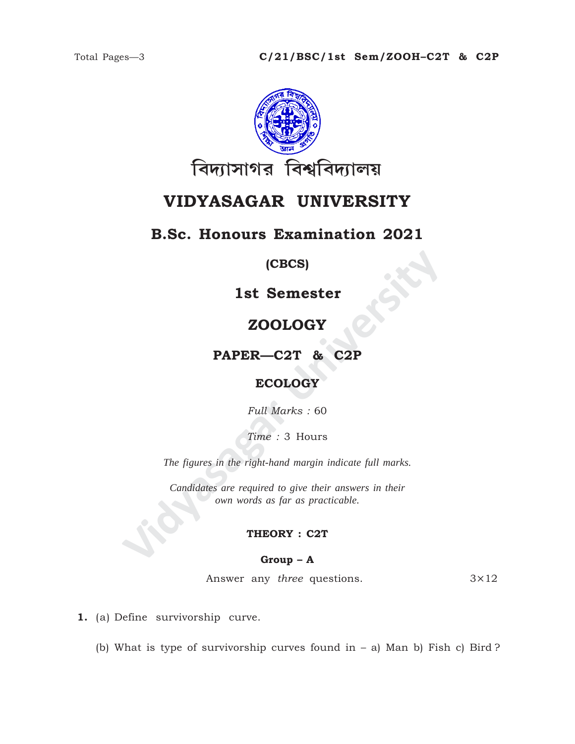

# **VIDYASAGAR UNIVERSITY**

## **B.Sc. Honours Examination 2021**

### **(CBCS)**

**1st Semester**

## **ZOOLOGY**

**PAPER—C2T & C2P**

### **ECOLOGY**

*Full Marks :* 60

*Time :* 3 Hours

*The figures in the right-hand margin indicate full marks.*

**1st Semester<br>
ZOOLOGY<br>
PAPER—C2T & C2P<br>
ECOLOGY<br>
Full Marks : 60<br>
Time : 3 Hours<br>
The figures in the right-hand margin indicate full marks.<br>
Candidates are required to give their answers in their<br>
con words as far as prac** *Candidates are required to give their answers in their own words as far as practicable.*

### **THEORY : C2T**

### **Group – A**

Answer any *three* questions. 3×12

**1.** (a) Define survivorship curve.

(b) What is type of survivorship curves found in  $-$  a) Man b) Fish c) Bird ?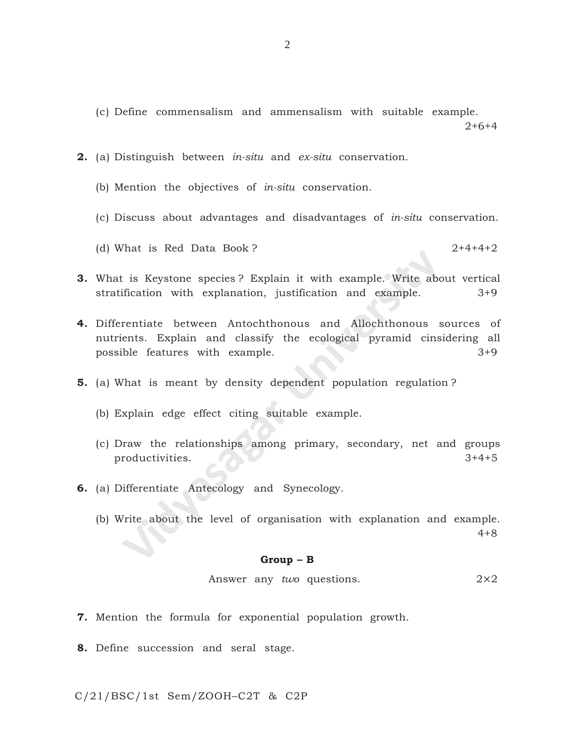(c) Define commensalism and ammensalism with suitable example.

 $2+6+4$ 

- **2.** (a) Distinguish between *in-situ* and *ex-situ* conservation.
	- (b) Mention the objectives of *in-situ* conservation.
	- (c) Discuss about advantages and disadvantages of *in-situ* conservation.

(d) What is Red Data Book ? 2+4+4+2

- **3.** What is Keystone species ? Explain it with example. Write about vertical stratification with explanation, justification and example. 3+9
- The Reystone species? Explain it with example. Write about<br>ification with explanation, justification and example.<br>Final example.<br>Final example example and classify the ecological pyramid cinsi<br>ble features with example.<br>Th **4.** Differentiate between Antochthonous and Allochthonous sources of nutrients. Explain and classify the ecological pyramid cinsidering all possible features with example. 3+9
- **5.** (a) What is meant by density dependent population regulation ?
	- (b) Explain edge effect citing suitable example.
	- (c) Draw the relationships among primary, secondary, net and groups productivities.  $3+4+5$
- **6.** (a) Differentiate Antecology and Synecology.
	- (b) Write about the level of organisation with explanation and example.

4+8

#### **Group – B**

Answer any *two* questions. 2×2

- **7.** Mention the formula for exponential population growth.
- **8.** Define succession and seral stage.

C/21/BSC/1st Sem/ZOOH–C2T & C2P